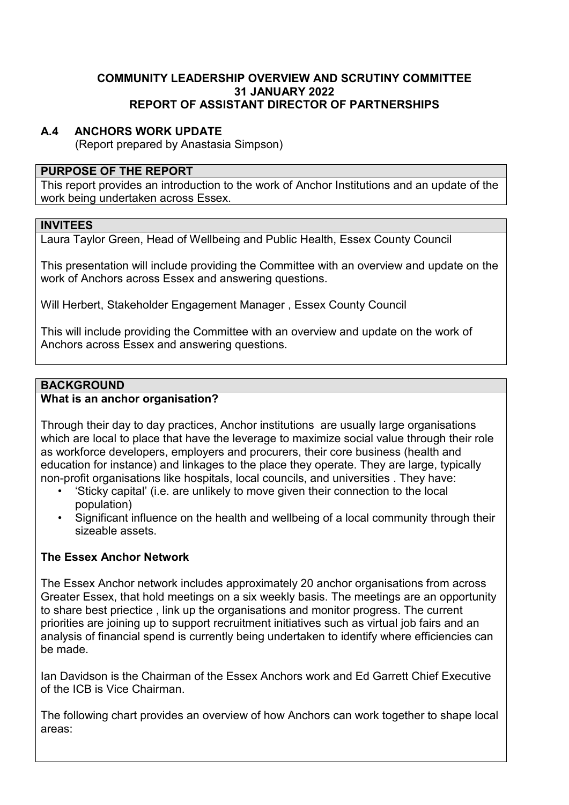### **COMMUNITY LEADERSHIP OVERVIEW AND SCRUTINY COMMITTEE 31 JANUARY 2022 REPORT OF ASSISTANT DIRECTOR OF PARTNERSHIPS**

## **A.4 ANCHORS WORK UPDATE**

(Report prepared by Anastasia Simpson)

#### **PURPOSE OF THE REPORT**

This report provides an introduction to the work of Anchor Institutions and an update of the work being undertaken across Essex.

#### **INVITEES**

Laura Taylor Green, Head of Wellbeing and Public Health, Essex County Council

This presentation will include providing the Committee with an overview and update on the work of Anchors across Essex and answering questions.

Will Herbert, Stakeholder Engagement Manager , Essex County Council

This will include providing the Committee with an overview and update on the work of Anchors across Essex and answering questions.

## **BACKGROUND**

## **What is an anchor organisation?**

Through their day to day practices, Anchor institutions are usually large organisations which are local to place that have the leverage to maximize social value through their role as workforce developers, employers and procurers, their core business (health and education for instance) and linkages to the place they operate. They are large, typically non-profit organisations like hospitals, local councils, and universities . They have:

- 'Sticky capital' (i.e. are unlikely to move given their connection to the local population)
- Significant influence on the health and wellbeing of a local community through their sizeable assets.

# **The Essex Anchor Network**

The Essex Anchor network includes approximately 20 anchor organisations from across Greater Essex, that hold meetings on a six weekly basis. The meetings are an opportunity to share best priectice , link up the organisations and monitor progress. The current priorities are joining up to support recruitment initiatives such as virtual job fairs and an analysis of financial spend is currently being undertaken to identify where efficiencies can be made.

Ian Davidson is the Chairman of the Essex Anchors work and Ed Garrett Chief Executive of the ICB is Vice Chairman.

The following chart provides an overview of how Anchors can work together to shape local areas: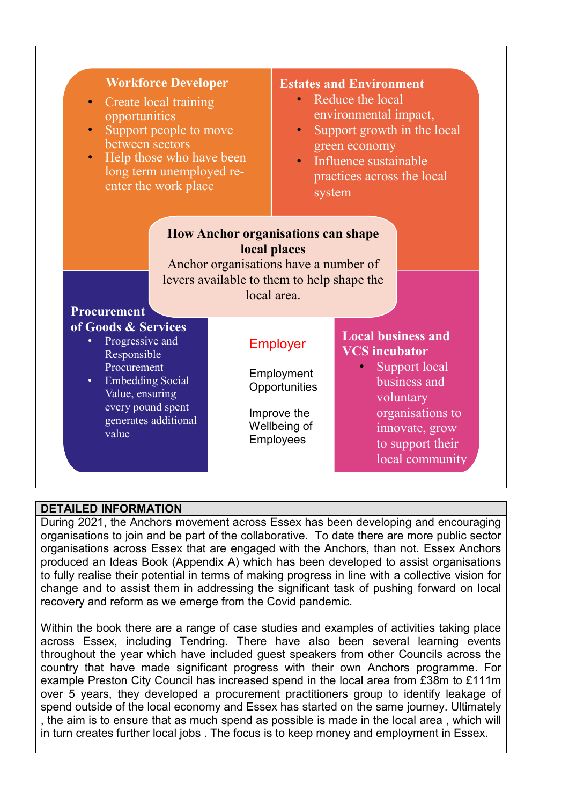| <b>Workforce Developer</b><br>Create local training<br>$\bullet$<br>opportunities<br>Support people to move<br>between sectors<br>Help those who have been<br>$\bullet$<br>long term unemployed re-<br>enter the work place |                                                                                                                                  | <b>Estates and Environment</b><br>Reduce the local<br>$\bullet$<br>environmental impact,<br>Support growth in the local<br>$\bullet$<br>green economy<br>· Influence sustainable<br>practices across the local<br>system |                                                                                                                                                                              |
|-----------------------------------------------------------------------------------------------------------------------------------------------------------------------------------------------------------------------------|----------------------------------------------------------------------------------------------------------------------------------|--------------------------------------------------------------------------------------------------------------------------------------------------------------------------------------------------------------------------|------------------------------------------------------------------------------------------------------------------------------------------------------------------------------|
| <b>Procurement</b>                                                                                                                                                                                                          | <b>How Anchor organisations can shape</b><br>Anchor organisations have a number of<br>levers available to them to help shape the | local places<br>local area.                                                                                                                                                                                              |                                                                                                                                                                              |
| of Goods & Services<br>Progressive and<br>Responsible<br>Procurement<br>Embedding Social<br>$\bullet$<br>Value, ensuring<br>every pound spent<br>generates additional<br>value                                              |                                                                                                                                  | <b>Employer</b><br>Employment<br>Opportunities<br>Improve the<br>Wellbeing of<br>Employees                                                                                                                               | <b>Local business and</b><br><b>VCS</b> incubator<br>Support local<br>business and<br>voluntary<br>organisations to<br>innovate, grow<br>to support their<br>local community |

### **DETAILED INFORMATION**

During 2021, the Anchors movement across Essex has been developing and encouraging organisations to join and be part of the collaborative. To date there are more public sector organisations across Essex that are engaged with the Anchors, than not. Essex Anchors produced an Ideas Book (Appendix A) which has been developed to assist organisations to fully realise their potential in terms of making progress in line with a collective vision for change and to assist them in addressing the significant task of pushing forward on local recovery and reform as we emerge from the Covid pandemic.

Within the book there are a range of case studies and examples of activities taking place across Essex, including Tendring. There have also been several learning events throughout the year which have included guest speakers from other Councils across the country that have made significant progress with their own Anchors programme. For example Preston City Council has increased spend in the local area from £38m to £111m over 5 years, they developed a procurement practitioners group to identify leakage of spend outside of the local economy and Essex has started on the same journey. Ultimately , the aim is to ensure that as much spend as possible is made in the local area , which will in turn creates further local jobs . The focus is to keep money and employment in Essex.